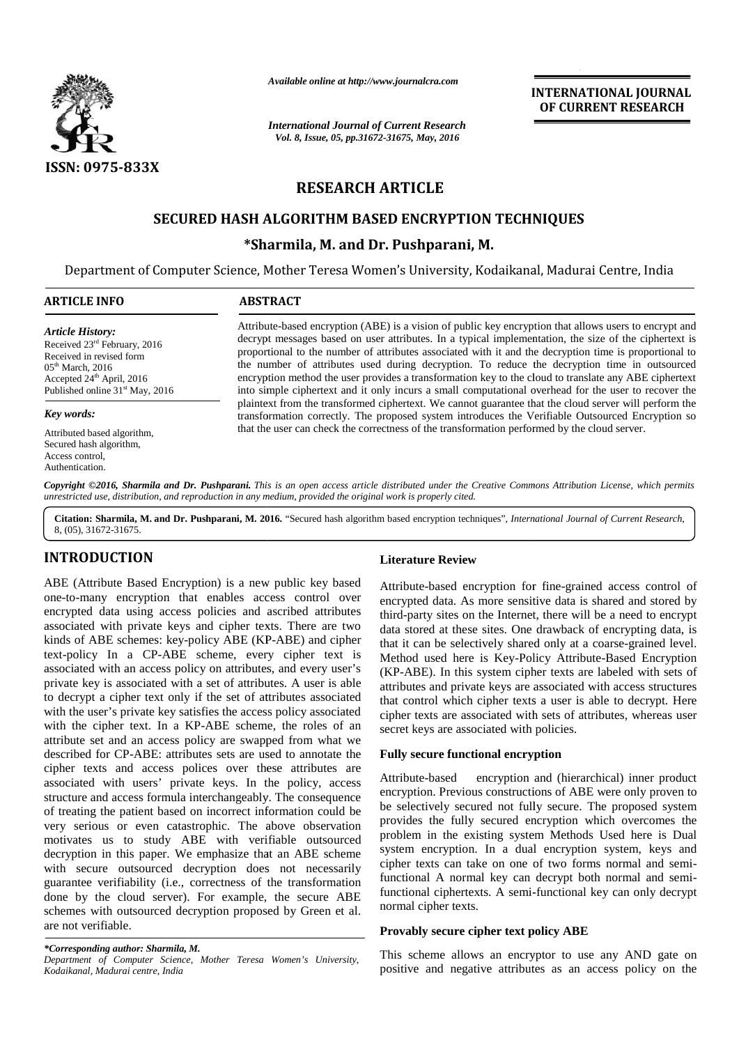

*Available online at http://www.journalcra.com*

# **RESEARCH ARTICLE RESEARCH**

# **SECURED HASH ALGORITHM BASED ENCRYPTION TECHNIQUES** SH ALGORITHM BASED ENCRYPTION TEC<br>\*Sharmila, M. and Dr. Pushparani, M.

|                                                                                                                                                                                                                                                                                                                                                                                                                                                                                                                                                                                                                                                                                                                                                                                                                                                                                                                                                                                                                                                                                                                                                                                                                                                                                                                                                                                                                                                                                                                                                                                            | Available online at http://www.journalcra.com<br><b>International Journal of Current Research</b><br>Vol. 8, Issue, 05, pp.31672-31675, May, 2016                                                                                                                                                                                                                                                                                                                                                                                                                                                                                                                                                                                                                                                                                                                                                                                                       |                                                                                                           | <b>INTERNATIONAL JOURNAL</b><br>OF CURRENT RESEARCH                                                                                                                                                                                                                                                                                                                                                                                                                                                                                                                                                                                                                                                                                                                                                                                                                                                                                                                                                                                                                                                                                                                                                                                                         |
|--------------------------------------------------------------------------------------------------------------------------------------------------------------------------------------------------------------------------------------------------------------------------------------------------------------------------------------------------------------------------------------------------------------------------------------------------------------------------------------------------------------------------------------------------------------------------------------------------------------------------------------------------------------------------------------------------------------------------------------------------------------------------------------------------------------------------------------------------------------------------------------------------------------------------------------------------------------------------------------------------------------------------------------------------------------------------------------------------------------------------------------------------------------------------------------------------------------------------------------------------------------------------------------------------------------------------------------------------------------------------------------------------------------------------------------------------------------------------------------------------------------------------------------------------------------------------------------------|---------------------------------------------------------------------------------------------------------------------------------------------------------------------------------------------------------------------------------------------------------------------------------------------------------------------------------------------------------------------------------------------------------------------------------------------------------------------------------------------------------------------------------------------------------------------------------------------------------------------------------------------------------------------------------------------------------------------------------------------------------------------------------------------------------------------------------------------------------------------------------------------------------------------------------------------------------|-----------------------------------------------------------------------------------------------------------|-------------------------------------------------------------------------------------------------------------------------------------------------------------------------------------------------------------------------------------------------------------------------------------------------------------------------------------------------------------------------------------------------------------------------------------------------------------------------------------------------------------------------------------------------------------------------------------------------------------------------------------------------------------------------------------------------------------------------------------------------------------------------------------------------------------------------------------------------------------------------------------------------------------------------------------------------------------------------------------------------------------------------------------------------------------------------------------------------------------------------------------------------------------------------------------------------------------------------------------------------------------|
|                                                                                                                                                                                                                                                                                                                                                                                                                                                                                                                                                                                                                                                                                                                                                                                                                                                                                                                                                                                                                                                                                                                                                                                                                                                                                                                                                                                                                                                                                                                                                                                            |                                                                                                                                                                                                                                                                                                                                                                                                                                                                                                                                                                                                                                                                                                                                                                                                                                                                                                                                                         |                                                                                                           |                                                                                                                                                                                                                                                                                                                                                                                                                                                                                                                                                                                                                                                                                                                                                                                                                                                                                                                                                                                                                                                                                                                                                                                                                                                             |
| ISSN: 0975-833X                                                                                                                                                                                                                                                                                                                                                                                                                                                                                                                                                                                                                                                                                                                                                                                                                                                                                                                                                                                                                                                                                                                                                                                                                                                                                                                                                                                                                                                                                                                                                                            |                                                                                                                                                                                                                                                                                                                                                                                                                                                                                                                                                                                                                                                                                                                                                                                                                                                                                                                                                         |                                                                                                           |                                                                                                                                                                                                                                                                                                                                                                                                                                                                                                                                                                                                                                                                                                                                                                                                                                                                                                                                                                                                                                                                                                                                                                                                                                                             |
|                                                                                                                                                                                                                                                                                                                                                                                                                                                                                                                                                                                                                                                                                                                                                                                                                                                                                                                                                                                                                                                                                                                                                                                                                                                                                                                                                                                                                                                                                                                                                                                            | <b>RESEARCH ARTICLE</b>                                                                                                                                                                                                                                                                                                                                                                                                                                                                                                                                                                                                                                                                                                                                                                                                                                                                                                                                 |                                                                                                           |                                                                                                                                                                                                                                                                                                                                                                                                                                                                                                                                                                                                                                                                                                                                                                                                                                                                                                                                                                                                                                                                                                                                                                                                                                                             |
|                                                                                                                                                                                                                                                                                                                                                                                                                                                                                                                                                                                                                                                                                                                                                                                                                                                                                                                                                                                                                                                                                                                                                                                                                                                                                                                                                                                                                                                                                                                                                                                            | SECURED HASH ALGORITHM BASED ENCRYPTION TECHNIQUES                                                                                                                                                                                                                                                                                                                                                                                                                                                                                                                                                                                                                                                                                                                                                                                                                                                                                                      |                                                                                                           |                                                                                                                                                                                                                                                                                                                                                                                                                                                                                                                                                                                                                                                                                                                                                                                                                                                                                                                                                                                                                                                                                                                                                                                                                                                             |
|                                                                                                                                                                                                                                                                                                                                                                                                                                                                                                                                                                                                                                                                                                                                                                                                                                                                                                                                                                                                                                                                                                                                                                                                                                                                                                                                                                                                                                                                                                                                                                                            | *Sharmila, M. and Dr. Pushparani, M.                                                                                                                                                                                                                                                                                                                                                                                                                                                                                                                                                                                                                                                                                                                                                                                                                                                                                                                    |                                                                                                           |                                                                                                                                                                                                                                                                                                                                                                                                                                                                                                                                                                                                                                                                                                                                                                                                                                                                                                                                                                                                                                                                                                                                                                                                                                                             |
|                                                                                                                                                                                                                                                                                                                                                                                                                                                                                                                                                                                                                                                                                                                                                                                                                                                                                                                                                                                                                                                                                                                                                                                                                                                                                                                                                                                                                                                                                                                                                                                            |                                                                                                                                                                                                                                                                                                                                                                                                                                                                                                                                                                                                                                                                                                                                                                                                                                                                                                                                                         |                                                                                                           | Department of Computer Science, Mother Teresa Women's University, Kodaikanal, Madurai Centre, India                                                                                                                                                                                                                                                                                                                                                                                                                                                                                                                                                                                                                                                                                                                                                                                                                                                                                                                                                                                                                                                                                                                                                         |
| <b>ARTICLE INFO</b>                                                                                                                                                                                                                                                                                                                                                                                                                                                                                                                                                                                                                                                                                                                                                                                                                                                                                                                                                                                                                                                                                                                                                                                                                                                                                                                                                                                                                                                                                                                                                                        | <b>ABSTRACT</b>                                                                                                                                                                                                                                                                                                                                                                                                                                                                                                                                                                                                                                                                                                                                                                                                                                                                                                                                         |                                                                                                           |                                                                                                                                                                                                                                                                                                                                                                                                                                                                                                                                                                                                                                                                                                                                                                                                                                                                                                                                                                                                                                                                                                                                                                                                                                                             |
| <b>Article History:</b><br>Received 23rd February, 2016<br>Received in revised form<br>05 <sup>th</sup> March, 2016<br>Accepted 24 <sup>th</sup> April, 2016<br>Published online 31 <sup>st</sup> May, 2016<br>Key words:<br>Attributed based algorithm,<br>Secured hash algorithm,                                                                                                                                                                                                                                                                                                                                                                                                                                                                                                                                                                                                                                                                                                                                                                                                                                                                                                                                                                                                                                                                                                                                                                                                                                                                                                        | Attribute-based encryption (ABE) is a vision of public key encryption that allows users to encrypt and<br>decrypt messages based on user attributes. In a typical implementation, the size of the ciphertext is<br>proportional to the number of attributes associated with it and the decryption time is proportional to<br>the number of attributes used during decryption. To reduce the decryption time in outsourced<br>encryption method the user provides a transformation key to the cloud to translate any ABE ciphertext<br>into simple ciphertext and it only incurs a small computational overhead for the user to recover the<br>plaintext from the transformed ciphertext. We cannot guarantee that the cloud server will perform the<br>transformation correctly. The proposed system introduces the Verifiable Outsourced Encryption so<br>that the user can check the correctness of the transformation performed by the cloud server. |                                                                                                           |                                                                                                                                                                                                                                                                                                                                                                                                                                                                                                                                                                                                                                                                                                                                                                                                                                                                                                                                                                                                                                                                                                                                                                                                                                                             |
| Access control,<br>Authentication.<br>unrestricted use, distribution, and reproduction in any medium, provided the original work is properly cited.<br>8, (05), 31672-31675.                                                                                                                                                                                                                                                                                                                                                                                                                                                                                                                                                                                                                                                                                                                                                                                                                                                                                                                                                                                                                                                                                                                                                                                                                                                                                                                                                                                                               |                                                                                                                                                                                                                                                                                                                                                                                                                                                                                                                                                                                                                                                                                                                                                                                                                                                                                                                                                         |                                                                                                           | Copyright ©2016, Sharmila and Dr. Pushparani. This is an open access article distributed under the Creative Commons Attribution License, which permits<br>Citation: Sharmila, M. and Dr. Pushparani, M. 2016. "Secured hash algorithm based encryption techniques", International Journal of Current Research,                                                                                                                                                                                                                                                                                                                                                                                                                                                                                                                                                                                                                                                                                                                                                                                                                                                                                                                                              |
| <b>INTRODUCTION</b>                                                                                                                                                                                                                                                                                                                                                                                                                                                                                                                                                                                                                                                                                                                                                                                                                                                                                                                                                                                                                                                                                                                                                                                                                                                                                                                                                                                                                                                                                                                                                                        |                                                                                                                                                                                                                                                                                                                                                                                                                                                                                                                                                                                                                                                                                                                                                                                                                                                                                                                                                         | <b>Literature Review</b>                                                                                  |                                                                                                                                                                                                                                                                                                                                                                                                                                                                                                                                                                                                                                                                                                                                                                                                                                                                                                                                                                                                                                                                                                                                                                                                                                                             |
| ABE (Attribute Based Encryption) is a new public key based<br>one-to-many encryption that enables access control over<br>encrypted data using access policies and ascribed attributes<br>associated with private keys and cipher texts. There are two<br>kinds of ABE schemes: key-policy ABE (KP-ABE) and cipher<br>text-policy In a CP-ABE scheme, every cipher text is<br>associated with an access policy on attributes, and every user's<br>private key is associated with a set of attributes. A user is able<br>to decrypt a cipher text only if the set of attributes associated<br>with the user's private key satisfies the access policy associated<br>with the cipher text. In a KP-ABE scheme, the roles of an<br>attribute set and an access policy are swapped from what we<br>described for CP-ABE: attributes sets are used to annotate the<br>cipher texts and access polices over these attributes are<br>associated with users' private keys. In the policy, access<br>structure and access formula interchangeably. The consequence<br>of treating the patient based on incorrect information could be<br>very serious or even catastrophic. The above observation<br>motivates us to study ABE with verifiable outsourced<br>decryption in this paper. We emphasize that an ABE scheme<br>with secure outsourced decryption does not necessarily<br>guarantee verifiability (i.e., correctness of the transformation<br>done by the cloud server). For example, the secure ABE<br>schemes with outsourced decryption proposed by Green et al.<br>are not verifiable. |                                                                                                                                                                                                                                                                                                                                                                                                                                                                                                                                                                                                                                                                                                                                                                                                                                                                                                                                                         | secret keys are associated with policies.<br><b>Fully secure functional encryption</b><br>Attribute-based | Attribute-based encryption for fine-grained access control of<br>encrypted data. As more sensitive data is shared and stored by<br>third-party sites on the Internet, there will be a need to encrypt<br>data stored at these sites. One drawback of encrypting data, is<br>that it can be selectively shared only at a coarse-grained level.<br>Method used here is Key-Policy Attribute-Based Encryption<br>(KP-ABE). In this system cipher texts are labeled with sets of<br>attributes and private keys are associated with access structures<br>that control which cipher texts a user is able to decrypt. Here<br>cipher texts are associated with sets of attributes, whereas user<br>encryption and (hierarchical) inner product<br>encryption. Previous constructions of ABE were only proven to<br>be selectively secured not fully secure. The proposed system<br>provides the fully secured encryption which overcomes the<br>problem in the existing system Methods Used here is Dual<br>system encryption. In a dual encryption system, keys and<br>cipher texts can take on one of two forms normal and semi-<br>functional A normal key can decrypt both normal and semi-<br>functional ciphertexts. A semi-functional key can only decrypt |
|                                                                                                                                                                                                                                                                                                                                                                                                                                                                                                                                                                                                                                                                                                                                                                                                                                                                                                                                                                                                                                                                                                                                                                                                                                                                                                                                                                                                                                                                                                                                                                                            |                                                                                                                                                                                                                                                                                                                                                                                                                                                                                                                                                                                                                                                                                                                                                                                                                                                                                                                                                         | normal cipher texts.<br>Provably secure cipher text policy ABE                                            |                                                                                                                                                                                                                                                                                                                                                                                                                                                                                                                                                                                                                                                                                                                                                                                                                                                                                                                                                                                                                                                                                                                                                                                                                                                             |
| *Corresponding author: Sharmila, M.<br>Department of Computer Science, Mother Teresa Women's University,                                                                                                                                                                                                                                                                                                                                                                                                                                                                                                                                                                                                                                                                                                                                                                                                                                                                                                                                                                                                                                                                                                                                                                                                                                                                                                                                                                                                                                                                                   |                                                                                                                                                                                                                                                                                                                                                                                                                                                                                                                                                                                                                                                                                                                                                                                                                                                                                                                                                         | This scheme allows an encryptor to use any AND gate on                                                    |                                                                                                                                                                                                                                                                                                                                                                                                                                                                                                                                                                                                                                                                                                                                                                                                                                                                                                                                                                                                                                                                                                                                                                                                                                                             |
| Kodaikanal, Madurai centre, India                                                                                                                                                                                                                                                                                                                                                                                                                                                                                                                                                                                                                                                                                                                                                                                                                                                                                                                                                                                                                                                                                                                                                                                                                                                                                                                                                                                                                                                                                                                                                          |                                                                                                                                                                                                                                                                                                                                                                                                                                                                                                                                                                                                                                                                                                                                                                                                                                                                                                                                                         |                                                                                                           | positive and negative attributes as an access policy on the                                                                                                                                                                                                                                                                                                                                                                                                                                                                                                                                                                                                                                                                                                                                                                                                                                                                                                                                                                                                                                                                                                                                                                                                 |

# **INTRODUCTION INTRODUCTION**

## **Literature Review**

## **Fully secure functional encryption**

#### **Provably secure cipher text policy ABE Provably policy ABE**

*<sup>\*</sup>Corresponding author: Sharmila, M. \*Corresponding Sharmila, Department of Computer Science, Mother Teresa Women's University, Kodaikanal, Madurai centre, India*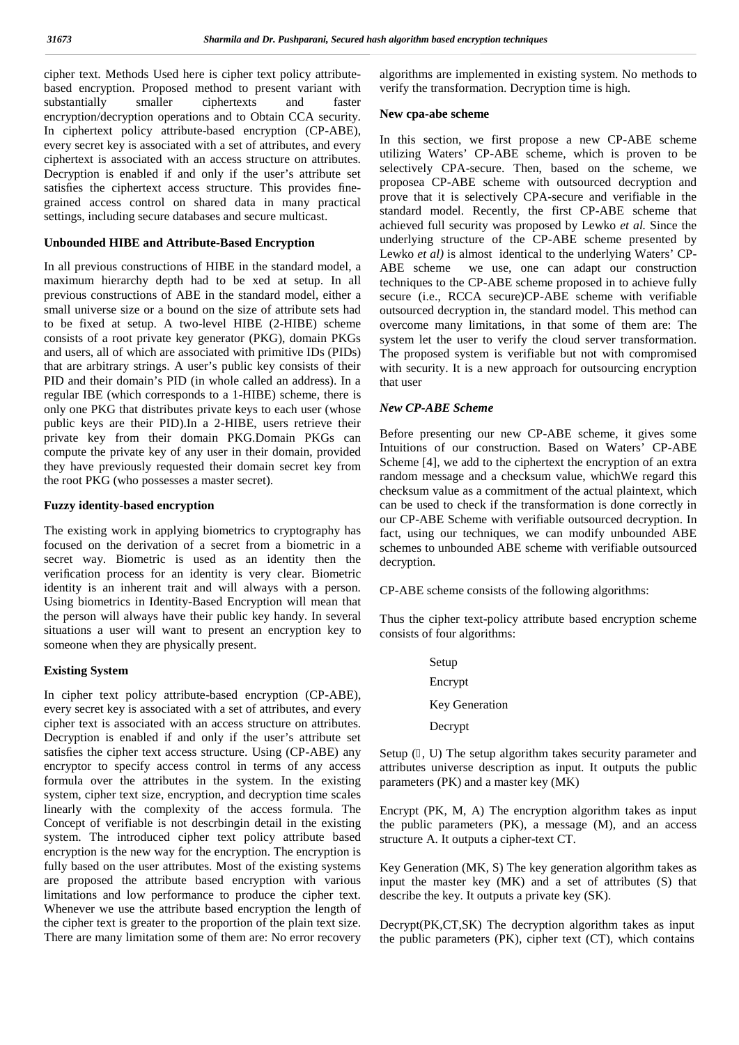cipher text. Methods Used here is cipher text policy attribute based encryption. Proposed method to present variant with<br>substantially smaller ciphertexts and faster substantially smaller ciphertexts and encryption/decryption operations and to Obtain CCA security. In ciphertext policy attribute-based encryption (CP-ABE), every secret key is associated with a set of attributes, and every ciphertext is associated with an access structure on attributes. Decryption is enabled if and only if the user's attribute set satisfies the ciphertext access structure. This provides fine grained access control on shared data in many practical settings, including secure databases and secure multicast.

#### **Unbounded HIBE and Attribute-Based Encryption**

In all previous constructions of HIBE in the standard model, a maximum hierarchy depth had to be xed at setup. In all previous constructions of ABE in the standard model, either a small universe size or a bound on the size of attribute sets had to be fixed at setup. A two-level HIBE (2-HIBE) scheme consists of a root private key generator (PKG), domain PKGs and users, all of which are associated with primitive IDs (PIDs) that are arbitrary strings. A user's public key consists of their PID and their domain's PID (in whole called an address). In a regular IBE (which corresponds to a 1-HIBE) scheme, there is only one PKG that distributes private keys to each user (whose public keys are their PID).In a 2-HIBE, users retrieve their private key from their domain PKG.Domain PKGs can compute the private key of any user in their domain, provided they have previously requested their domain secret key from the root PKG (who possesses a master secret).

#### **Fuzzy identity-based encryption**

The existing work in applying biometrics to cryptography has focused on the derivation of a secret from a biometric in a secret way. Biometric is used as an identity then the verification process for an identity is very clear. Biometric identity is an inherent trait and will always with a person. Using biometrics in Identity-Based Encryption will mean that the person will always have their public key handy. In several situations a user will want to present an encryption key to someone when they are physically present.

## **Existing System**

In cipher text policy attribute-based encryption (CP-ABE), every secret key is associated with a set of attributes, and every cipher text is associated with an access structure on attributes. Decryption is enabled if and only if the user's attribute set satisfies the cipher text access structure. Using (CP-ABE) any encryptor to specify access control in terms of any access formula over the attributes in the system. In the existing system, cipher text size, encryption, and decryption time scales linearly with the complexity of the access formula. The Concept of verifiable is not descrbingin detail in the existing system. The introduced cipher text policy attribute based encryption is the new way for the encryption. The encryption is fully based on the user attributes. Most of the existing systems are proposed the attribute based encryption with various limitations and low performance to produce the cipher text. Whenever we use the attribute based encryption the length of the cipher text is greater to the proportion of the plain text size. There are many limitation some of them are: No error recovery algorithms are implemented in existing system. No methods to verify the transformation. Decryption time is high.

#### **New cpa-abe scheme**

In this section, we first propose a new CP-ABE scheme utilizing Waters' CP-ABE scheme, which is proven to be selectively CPA-secure. Then, based on the scheme, we proposea CP-ABE scheme with outsourced decryption and prove that it is selectively CPA-secure and verifiable in the standard model. Recently, the first CP-ABE scheme that achieved full security was proposed by Lewko *et al.* Since the underlying structure of the CP-ABE scheme presented by Lewko *et al)* is almost identical to the underlying Waters' CP- ABE scheme we use, one can adapt our construction techniques to the CP-ABE scheme proposed in to achieve fully secure (i.e., RCCA secure)CP-ABE scheme with verifiable outsourced decryption in, the standard model. This method can overcome many limitations, in that some of them are: The system let the user to verify the cloud server transformation. The proposed system is verifiable but not with compromised with security. It is a new approach for outsourcing encryption that user

## *New CP-ABE Scheme*

Before presenting our new CP-ABE scheme, it gives some Intuitions of our construction. Based on Waters' CP-ABE Scheme [4], we add to the ciphertext the encryption of an extra random message and a checksum value, whichWe regard this checksum value as a commitment of the actual plaintext, which can be used to check if the transformation is done correctly in our CP-ABE Scheme with verifiable outsourced decryption. In fact, using our techniques, we can modify unbounded ABE schemes to unbounded ABE scheme with verifiable outsourced decryption.

CP-ABE scheme consists of the following algorithms:

Thus the cipher text-policy attribute based encryption scheme consists of four algorithms:

> Setup Encrypt Key Generation Decrypt

Setup (, U) The setup algorithm takes security parameter and attributes universe description as input. It outputs the public parameters (PK) and a master key (MK)

Encrypt (PK, M, A) The encryption algorithm takes as input the public parameters (PK), a message (M), and an access structure A. It outputs a cipher-text CT.

Key Generation (MK, S) The key generation algorithm takes as input the master key (MK) and a set of attributes (S) that describe the key. It outputs a private key (SK).

Decrypt(PK,CT,SK) The decryption algorithm takes as input the public parameters (PK), cipher text (CT), which contains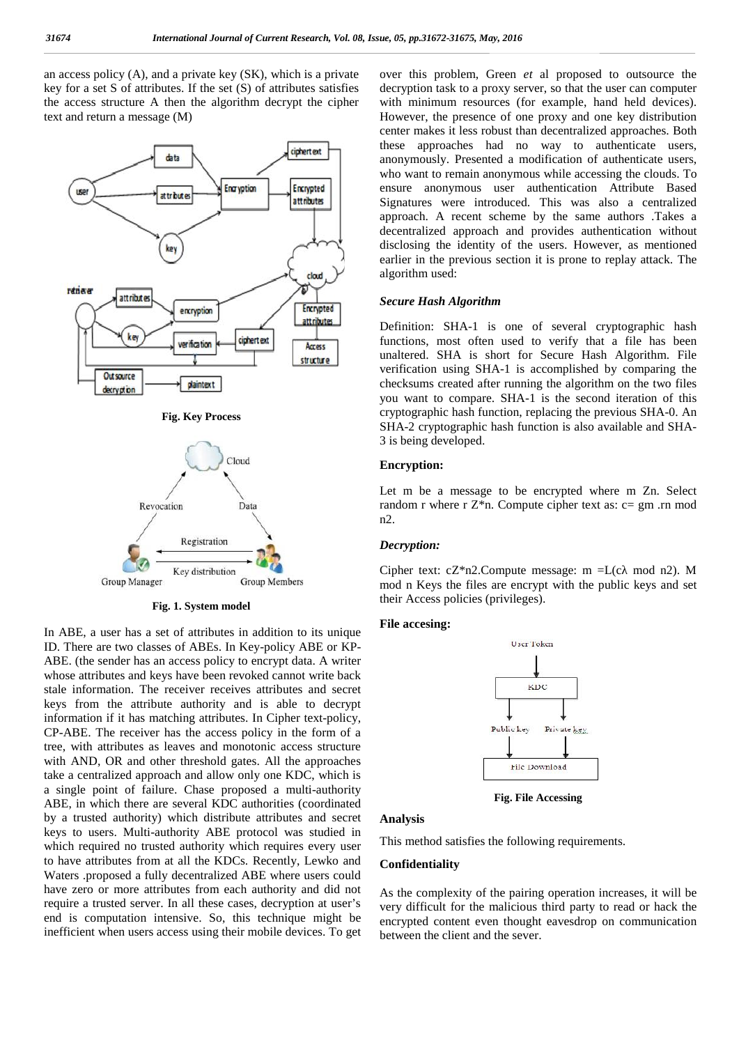an access policy (A), and a private key (SK), which is a private key for a set S of attributes. If the set (S) of attributes satisfies the access structure A then the algorithm decrypt the cipher text and return a message (M)



Key distribution Group Manager **Group Members** 

**Fig. 1. System model**

In ABE, a user has a set of attributes in addition to its unique ID. There are two classes of ABEs. In Key-policy ABE or KP- ABE. (the sender has an access policy to encrypt data. A writer whose attributes and keys have been revoked cannot write back stale information. The receiver receives attributes and secret keys from the attribute authority and is able to decrypt information if it has matching attributes. In Cipher text-policy, CP-ABE. The receiver has the access policy in the form of a tree, with attributes as leaves and monotonic access structure with AND, OR and other threshold gates. All the approaches take a centralized approach and allow only one KDC, which is a single point of failure. Chase proposed a multi-authority ABE, in which there are several KDC authorities (coordinated by a trusted authority) which distribute attributes and secret keys to users. Multi-authority ABE protocol was studied in which required no trusted authority which requires every user to have attributes from at all the KDCs. Recently, Lewko and Waters .proposed a fully decentralized ABE where users could have zero or more attributes from each authority and did not require a trusted server. In all these cases, decryption at user's end is computation intensive. So, this technique might be inefficient when users access using their mobile devices. To get

over this problem, Green *et* al proposed to outsource the decryption task to a proxy server, so that the user can computer with minimum resources (for example, hand held devices). However, the presence of one proxy and one key distribution center makes it less robust than decentralized approaches. Both these approaches had no way to authenticate users, anonymously. Presented a modification of authenticate users, who want to remain anonymous while accessing the clouds. To ensure anonymous user authentication Attribute Based Signatures were introduced. This was also a centralized approach. A recent scheme by the same authors .Takes a decentralized approach and provides authentication without disclosing the identity of the users. However, as mentioned earlier in the previous section it is prone to replay attack. The algorithm used:

#### *Secure Hash Algorithm*

Definition: SHA-1 is one of several cryptographic hash functions, most often used to verify that a file has been unaltered. SHA is short for Secure Hash Algorithm. File verification using SHA-1 is accomplished by comparing the checksums created after running the algorithm on the two files you want to compare. SHA-1 is the second iteration of this cryptographic hash function, replacing the previous SHA-0. An SHA-2 cryptographic hash function is also available and SHA- 3 is being developed.

#### **Encryption:**

Let m be a message to be encrypted where m Zn. Select random r where r  $Z^*$ n. Compute cipher text as: c= gm .rn mod n2.

#### *Decryption:*

Cipher text:  $cZ*n2$ . Compute message: m =L(c mod n2). mod n Keys the files are encrypt with the public keys and set their Access policies (privileges).

#### **File accesing:**



**Fig. File Accessing**

#### **Analysis**

This method satisfies the following requirements.

# **Confidentiality**

As the complexity of the pairing operation increases, it will be very difficult for the malicious third party to read or hack the encrypted content even thought eavesdrop on communication between the client and the sever.